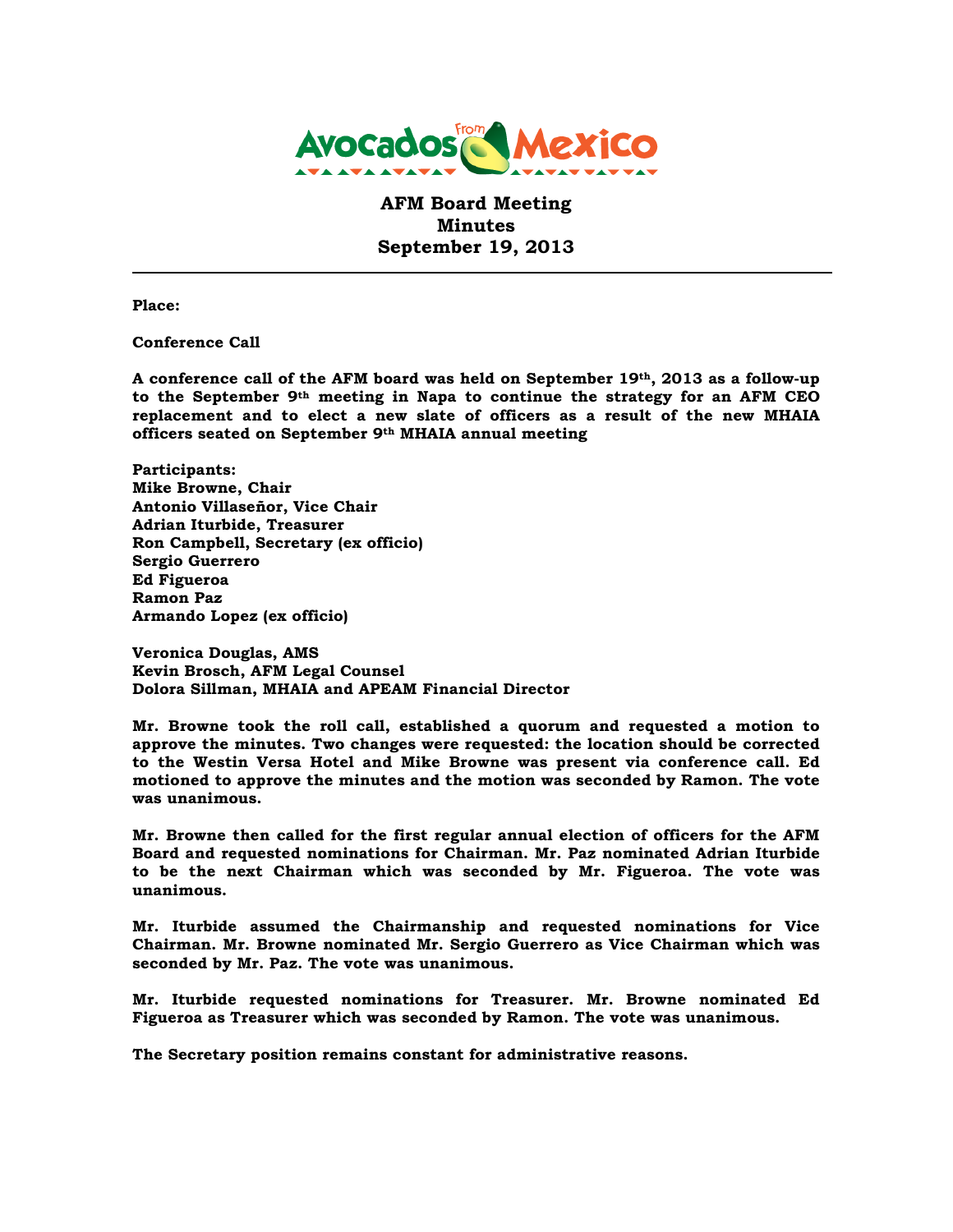

**AFM Board Meeting Minutes September 19, 2013**

**Place:**

**Conference Call**

**A conference call of the AFM board was held on September 19th, 2013 as a follow-up to the September 9th meeting in Napa to continue the strategy for an AFM CEO replacement and to elect a new slate of officers as a result of the new MHAIA officers seated on September 9th MHAIA annual meeting**

**Participants: Mike Browne, Chair Antonio Villaseñor, Vice Chair Adrian Iturbide, Treasurer Ron Campbell, Secretary (ex officio) Sergio Guerrero Ed Figueroa Ramon Paz Armando Lopez (ex officio)**

**Veronica Douglas, AMS Kevin Brosch, AFM Legal Counsel Dolora Sillman, MHAIA and APEAM Financial Director**

**Mr. Browne took the roll call, established a quorum and requested a motion to approve the minutes. Two changes were requested: the location should be corrected to the Westin Versa Hotel and Mike Browne was present via conference call. Ed motioned to approve the minutes and the motion was seconded by Ramon. The vote was unanimous.**

**Mr. Browne then called for the first regular annual election of officers for the AFM Board and requested nominations for Chairman. Mr. Paz nominated Adrian Iturbide to be the next Chairman which was seconded by Mr. Figueroa. The vote was unanimous.**

**Mr. Iturbide assumed the Chairmanship and requested nominations for Vice Chairman. Mr. Browne nominated Mr. Sergio Guerrero as Vice Chairman which was seconded by Mr. Paz. The vote was unanimous.**

**Mr. Iturbide requested nominations for Treasurer. Mr. Browne nominated Ed Figueroa as Treasurer which was seconded by Ramon. The vote was unanimous.**

**The Secretary position remains constant for administrative reasons.**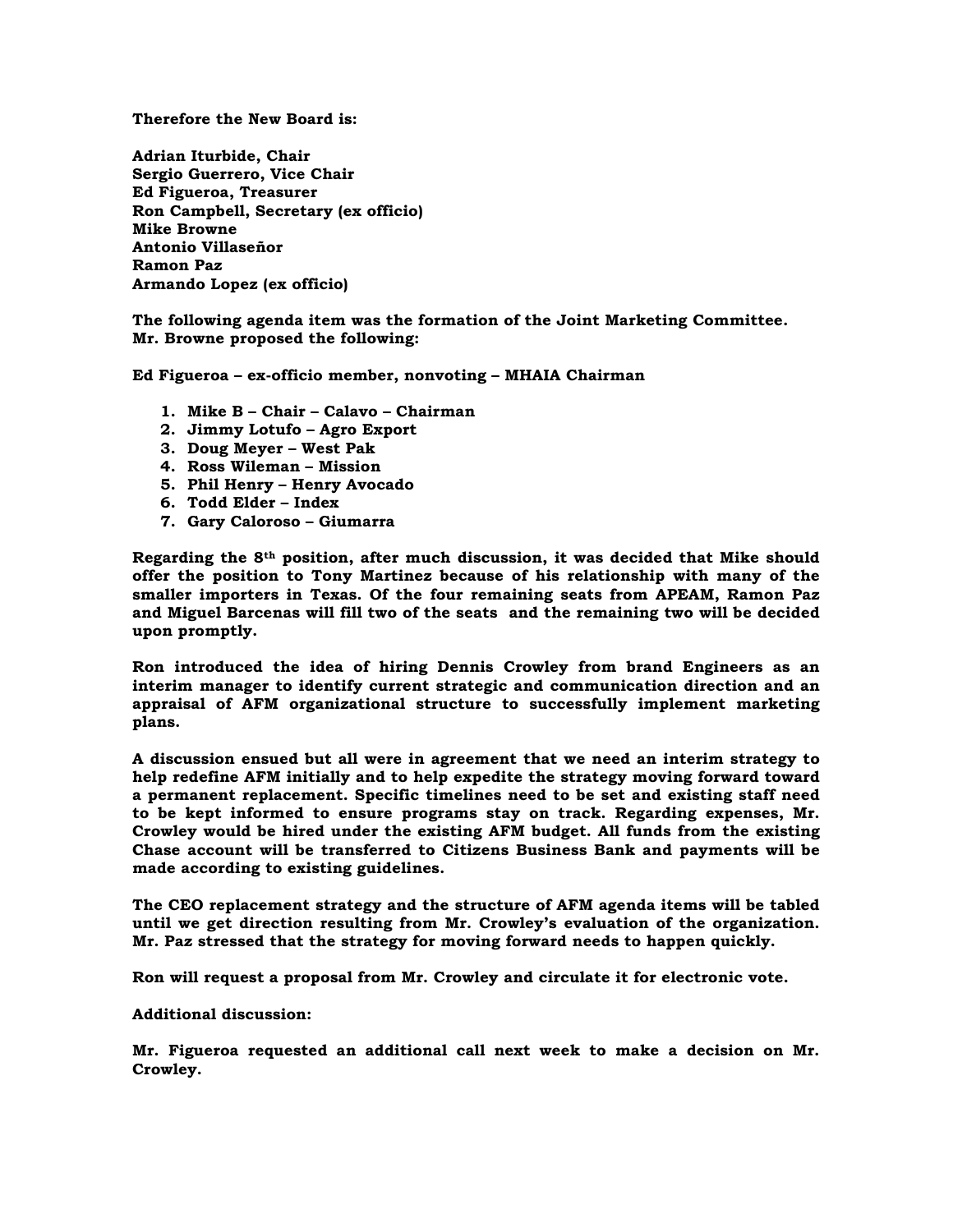**Therefore the New Board is:**

**Adrian Iturbide, Chair Sergio Guerrero, Vice Chair Ed Figueroa, Treasurer Ron Campbell, Secretary (ex officio) Mike Browne Antonio Villaseñor Ramon Paz Armando Lopez (ex officio)**

**The following agenda item was the formation of the Joint Marketing Committee. Mr. Browne proposed the following:**

**Ed Figueroa – ex-officio member, nonvoting – MHAIA Chairman**

- **1. Mike B – Chair – Calavo – Chairman**
- **2. Jimmy Lotufo – Agro Export**
- **3. Doug Meyer – West Pak**
- **4. Ross Wileman – Mission**
- **5. Phil Henry – Henry Avocado**
- **6. Todd Elder – Index**
- **7. Gary Caloroso – Giumarra**

**Regarding the 8th position, after much discussion, it was decided that Mike should offer the position to Tony Martinez because of his relationship with many of the smaller importers in Texas. Of the four remaining seats from APEAM, Ramon Paz and Miguel Barcenas will fill two of the seats and the remaining two will be decided upon promptly.** 

**Ron introduced the idea of hiring Dennis Crowley from brand Engineers as an interim manager to identify current strategic and communication direction and an appraisal of AFM organizational structure to successfully implement marketing plans.**

**A discussion ensued but all were in agreement that we need an interim strategy to help redefine AFM initially and to help expedite the strategy moving forward toward a permanent replacement. Specific timelines need to be set and existing staff need to be kept informed to ensure programs stay on track. Regarding expenses, Mr. Crowley would be hired under the existing AFM budget. All funds from the existing Chase account will be transferred to Citizens Business Bank and payments will be made according to existing guidelines.**

**The CEO replacement strategy and the structure of AFM agenda items will be tabled until we get direction resulting from Mr. Crowley's evaluation of the organization. Mr. Paz stressed that the strategy for moving forward needs to happen quickly.**

**Ron will request a proposal from Mr. Crowley and circulate it for electronic vote.**

**Additional discussion:**

**Mr. Figueroa requested an additional call next week to make a decision on Mr. Crowley.**